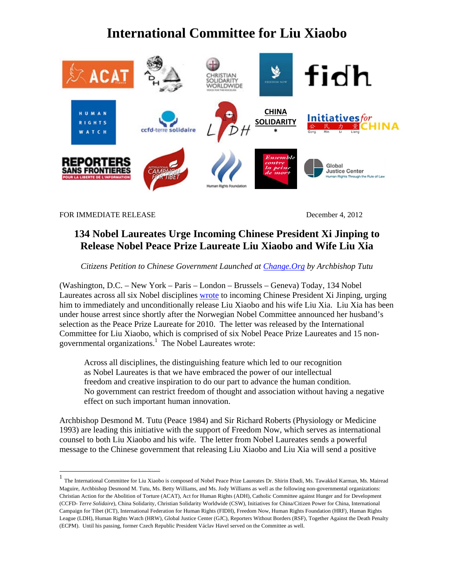## **International Committee for Liu Xiaobo**



FOR IMMEDIATE RELEASE December 4, 2012

#### **134 Nobel Laureates Urge Incoming Chinese President Xi Jinping to Release Nobel Peace Prize Laureate Liu Xiaobo and Wife Liu Xia**

*Citizens Petition to Chinese Government Launched at Change.Org by Archbishop Tutu* 

(Washington, D.C. – New York – Paris – London – Brussels – Geneva) Today, 134 Nobel Laureates across all six Nobel disciplines wrote to incoming Chinese President Xi Jinping, urging him to immediately and unconditionally release Liu Xiaobo and his wife Liu Xia. Liu Xia has been under house arrest since shortly after the Norwegian Nobel Committee announced her husband's selection as the Peace Prize Laureate for 2010. The letter was released by the International Committee for Liu Xiaobo, which is comprised of six Nobel Peace Prize Laureates and 15 nongovernmental organizations.<sup>1</sup> The Nobel Laureates wrote:

Across all disciplines, the distinguishing feature which led to our recognition as Nobel Laureates is that we have embraced the power of our intellectual freedom and creative inspiration to do our part to advance the human condition. No government can restrict freedom of thought and association without having a negative effect on such important human innovation.

Archbishop Desmond M. Tutu (Peace 1984) and Sir Richard Roberts (Physiology or Medicine 1993) are leading this initiative with the support of Freedom Now, which serves as international counsel to both Liu Xiaobo and his wife. The letter from Nobel Laureates sends a powerful message to the Chinese government that releasing Liu Xiaobo and Liu Xia will send a positive

<sup>1</sup> The International Committee for Liu Xiaobo is composed of Nobel Peace Prize Laureates Dr. Shirin Ebadi, Ms. Tawakkol Karman, Ms. Mairead Maguire, Archbishop Desmond M. Tutu, Ms. Betty Williams, and Ms. Jody Williams as well as the following non-governmental organizations: Christian Action for the Abolition of Torture (ACAT), Act for Human Rights (ADH), Catholic Committee against Hunger and for Development (CCFD- *Terre Solidaire*), China Solidarity, Christian Solidarity Worldwide (CSW), Initiatives for China/Citizen Power for China, International Campaign for Tibet (ICT), International Federation for Human Rights (FIDH), Freedom Now, Human Rights Foundation (HRF), Human Rights League (LDH), Human Rights Watch (HRW), Global Justice Center (GJC), Reporters Without Borders (RSF), Together Against the Death Penalty (ECPM). Until his passing, former Czech Republic President Václav Havel served on the Committee as well.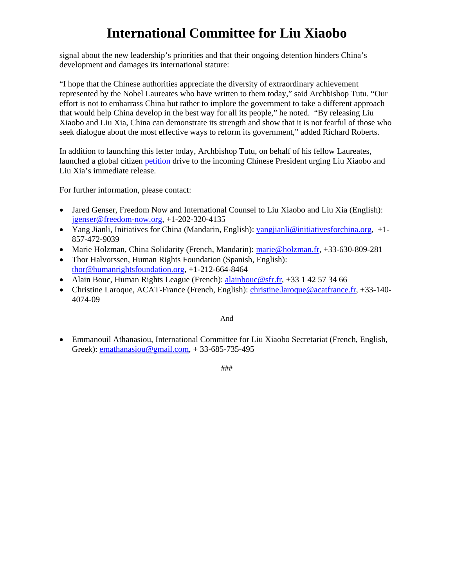# **International Committee for Liu Xiaobo**

signal about the new leadership's priorities and that their ongoing detention hinders China's development and damages its international stature:

"I hope that the Chinese authorities appreciate the diversity of extraordinary achievement represented by the Nobel Laureates who have written to them today," said Archbishop Tutu. "Our effort is not to embarrass China but rather to implore the government to take a different approach that would help China develop in the best way for all its people," he noted. "By releasing Liu Xiaobo and Liu Xia, China can demonstrate its strength and show that it is not fearful of those who seek dialogue about the most effective ways to reform its government," added Richard Roberts.

In addition to launching this letter today, Archbishop Tutu, on behalf of his fellow Laureates, launched a global citizen petition drive to the incoming Chinese President urging Liu Xiaobo and Liu Xia's immediate release.

For further information, please contact:

- Jared Genser, Freedom Now and International Counsel to Liu Xiaobo and Liu Xia (English): jgenser@freedom-now.org, +1-202-320-4135
- Yang Jianli, Initiatives for China (Mandarin, English): yangjianli@initiativesforchina.org, +1- 857-472-9039
- Marie Holzman, China Solidarity (French, Mandarin): marie@holzman.fr, +33-630-809-281
- Thor Halvorssen, Human Rights Foundation (Spanish, English): thor@humanrightsfoundation.org, +1-212-664-8464
- Alain Bouc, Human Rights League (French): alainbouc@sfr.fr, +33 1 42 57 34 66
- Christine Laroque, ACAT-France (French, English): christine.laroque@acatfrance.fr, +33-140- 4074-09

#### And

 Emmanouil Athanasiou, International Committee for Liu Xiaobo Secretariat (French, English, Greek): emathanasiou@gmail.com, + 33-685-735-495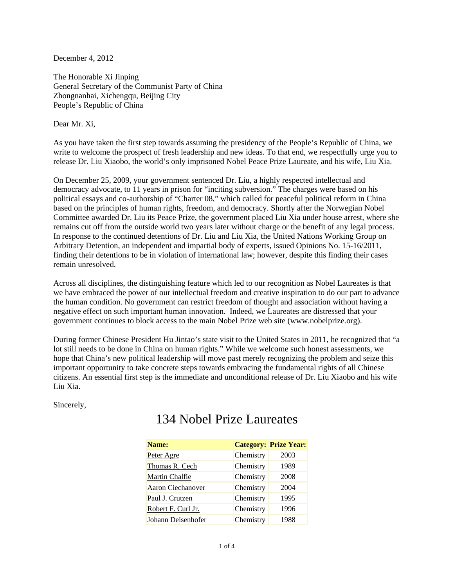December 4, 2012

The Honorable Xi Jinping General Secretary of the Communist Party of China Zhongnanhai, Xichengqu, Beijing City People's Republic of China

Dear Mr. Xi,

As you have taken the first step towards assuming the presidency of the People's Republic of China, we write to welcome the prospect of fresh leadership and new ideas. To that end, we respectfully urge you to release Dr. Liu Xiaobo, the world's only imprisoned Nobel Peace Prize Laureate, and his wife, Liu Xia.

On December 25, 2009, your government sentenced Dr. Liu, a highly respected intellectual and democracy advocate, to 11 years in prison for "inciting subversion." The charges were based on his political essays and co-authorship of "Charter 08," which called for peaceful political reform in China based on the principles of human rights, freedom, and democracy. Shortly after the Norwegian Nobel Committee awarded Dr. Liu its Peace Prize, the government placed Liu Xia under house arrest, where she remains cut off from the outside world two years later without charge or the benefit of any legal process. In response to the continued detentions of Dr. Liu and Liu Xia, the United Nations Working Group on Arbitrary Detention, an independent and impartial body of experts, issued Opinions No. 15-16/2011, finding their detentions to be in violation of international law; however, despite this finding their cases remain unresolved.

Across all disciplines, the distinguishing feature which led to our recognition as Nobel Laureates is that we have embraced the power of our intellectual freedom and creative inspiration to do our part to advance the human condition. No government can restrict freedom of thought and association without having a negative effect on such important human innovation. Indeed, we Laureates are distressed that your government continues to block access to the main Nobel Prize web site (www.nobelprize.org).

During former Chinese President Hu Jintao's state visit to the United States in 2011, he recognized that "a lot still needs to be done in China on human rights." While we welcome such honest assessments, we hope that China's new political leadership will move past merely recognizing the problem and seize this important opportunity to take concrete steps towards embracing the fundamental rights of all Chinese citizens. An essential first step is the immediate and unconditional release of Dr. Liu Xiaobo and his wife Liu Xia.

Sincerely,

| Name:                    |           | <b>Category: Prize Year:</b> |
|--------------------------|-----------|------------------------------|
| Peter Agre               | Chemistry | 2003                         |
| Thomas R. Cech           | Chemistry | 1989                         |
| Martin Chalfie           | Chemistry | 2008                         |
| <b>Aaron Ciechanover</b> | Chemistry | 2004                         |
| Paul J. Crutzen          | Chemistry | 1995                         |
| Robert F. Curl Jr.       | Chemistry | 1996                         |
| Johann Deisenhofer       | Chemistry | 1988                         |

### 134 Nobel Prize Laureates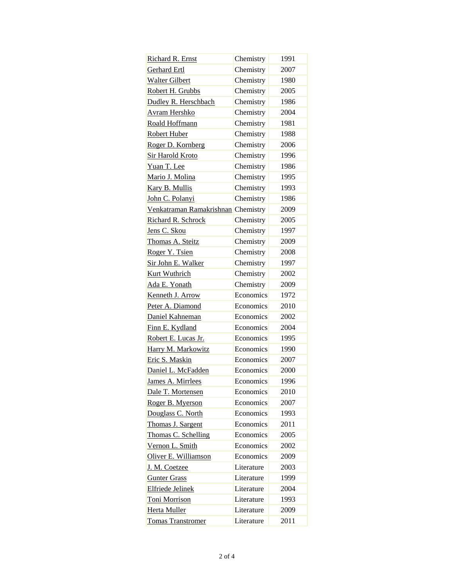| Richard R. Ernst                   | Chemistry  | 1991 |
|------------------------------------|------------|------|
| Gerhard Ertl                       | Chemistry  | 2007 |
| <b>Walter Gilbert</b>              | Chemistry  | 1980 |
| Robert H. Grubbs                   | Chemistry  | 2005 |
| Dudley R. Herschbach               | Chemistry  | 1986 |
| <b>Avram Hershko</b>               | Chemistry  | 2004 |
| Roald Hoffmann                     | Chemistry  | 1981 |
| Robert Huber                       | Chemistry  | 1988 |
| Roger D. Kornberg                  | Chemistry  | 2006 |
| <b>Sir Harold Kroto</b>            | Chemistry  | 1996 |
| Yuan T. Lee                        | Chemistry  | 1986 |
| Mario J. Molina                    | Chemistry  | 1995 |
| Kary B. Mullis                     | Chemistry  | 1993 |
| John C. Polanyi                    | Chemistry  | 1986 |
| Venkatraman Ramakrishnan Chemistry |            | 2009 |
| Richard R. Schrock                 | Chemistry  | 2005 |
| Jens C. Skou                       | Chemistry  | 1997 |
| Thomas A. Steitz                   | Chemistry  | 2009 |
| Roger Y. Tsien                     | Chemistry  | 2008 |
| Sir John E. Walker                 | Chemistry  | 1997 |
| <b>Kurt Wuthrich</b>               | Chemistry  | 2002 |
| Ada E. Yonath                      | Chemistry  | 2009 |
| Kenneth J. Arrow                   | Economics  | 1972 |
| Peter A. Diamond                   | Economics  | 2010 |
| Daniel Kahneman                    | Economics  | 2002 |
| Finn E. Kydland                    | Economics  | 2004 |
| Robert E. Lucas Jr.                | Economics  | 1995 |
| Harry M. Markowitz                 | Economics  | 1990 |
| Eric S. Maskin                     | Economics  | 2007 |
| Daniel L. McFadden                 | Economics  | 2000 |
| James A. Mirrlees                  | Economics  | 1996 |
| Dale T. Mortensen                  | Economics  | 2010 |
| Roger B. Myerson                   | Economics  | 2007 |
| Douglass C. North                  | Economics  | 1993 |
| Thomas J. Sargent                  | Economics  | 2011 |
| Thomas C. Schelling                | Economics  | 2005 |
| Vernon L. Smith                    | Economics  | 2002 |
| Oliver E. Williamson               | Economics  | 2009 |
| J. M. Coetzee                      | Literature | 2003 |
| <b>Gunter Grass</b>                | Literature | 1999 |
| Elfriede Jelinek                   | Literature | 2004 |
| <b>Toni Morrison</b>               | Literature | 1993 |
| Herta Muller                       | Literature | 2009 |
| <b>Tomas Transtromer</b>           | Literature | 2011 |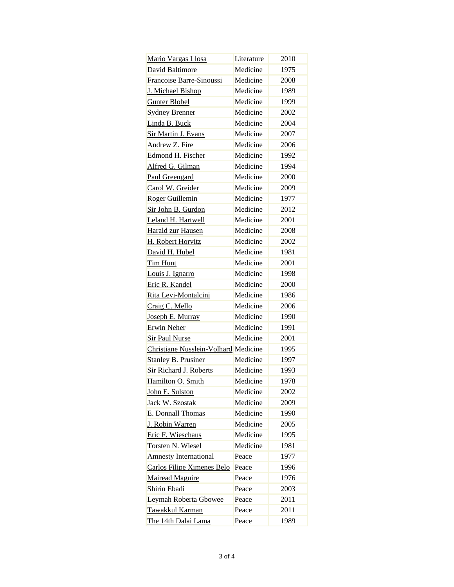| Mario Vargas Llosa                   | Literature | 2010 |
|--------------------------------------|------------|------|
| David Baltimore                      | Medicine   | 1975 |
| Francoise Barre-Sinoussi             | Medicine   | 2008 |
| J. Michael Bishop                    | Medicine   | 1989 |
| Gunter Blobel                        | Medicine   | 1999 |
| <b>Sydney Brenner</b>                | Medicine   | 2002 |
| Linda B. Buck                        | Medicine   | 2004 |
| Sir Martin J. Evans                  | Medicine   | 2007 |
| Andrew Z. Fire                       | Medicine   | 2006 |
| Edmond H. Fischer                    | Medicine   | 1992 |
| Alfred G. Gilman                     | Medicine   | 1994 |
| <b>Paul Greengard</b>                | Medicine   | 2000 |
| Carol W. Greider                     | Medicine   | 2009 |
| Roger Guillemin                      | Medicine   | 1977 |
| Sir John B. Gurdon                   | Medicine   | 2012 |
| Leland H. Hartwell                   | Medicine   | 2001 |
| Harald zur Hausen                    | Medicine   | 2008 |
| H. Robert Horvitz                    | Medicine   | 2002 |
| David H. Hubel                       | Medicine   | 1981 |
| Tim Hunt                             | Medicine   | 2001 |
| Louis J. Ignarro                     | Medicine   | 1998 |
| Eric R. Kandel                       | Medicine   | 2000 |
| Rita Levi-Montalcini                 | Medicine   | 1986 |
| Craig C. Mello                       | Medicine   | 2006 |
| Joseph E. Murray                     | Medicine   | 1990 |
| Erwin Neher                          | Medicine   | 1991 |
| <b>Sir Paul Nurse</b>                | Medicine   | 2001 |
| Christiane Nusslein-Volhard Medicine |            | 1995 |
| Stanley B. Prusiner                  | Medicine   | 1997 |
| <b>Sir Richard J. Roberts</b>        | Medicine   | 1993 |
| Hamilton O. Smith                    | Medicine   | 1978 |
| John E. Sulston                      | Medicine   | 2002 |
| Jack W. Szostak                      | Medicine   | 2009 |
| E. Donnall Thomas                    | Medicine   | 1990 |
| J. Robin Warren                      | Medicine   | 2005 |
| Eric F. Wieschaus                    | Medicine   | 1995 |
| Torsten N. Wiesel                    | Medicine   | 1981 |
| <b>Amnesty International</b>         | Peace      | 1977 |
| <b>Carlos Filipe Ximenes Belo</b>    | Peace      | 1996 |
| <b>Mairead Maguire</b>               | Peace      | 1976 |
| <b>Shirin Ebadi</b>                  | Peace      | 2003 |
| Leymah Roberta Gbowee                | Peace      | 2011 |
| Tawakkul Karman                      | Peace      | 2011 |
| The 14th Dalai Lama                  | Peace      | 1989 |